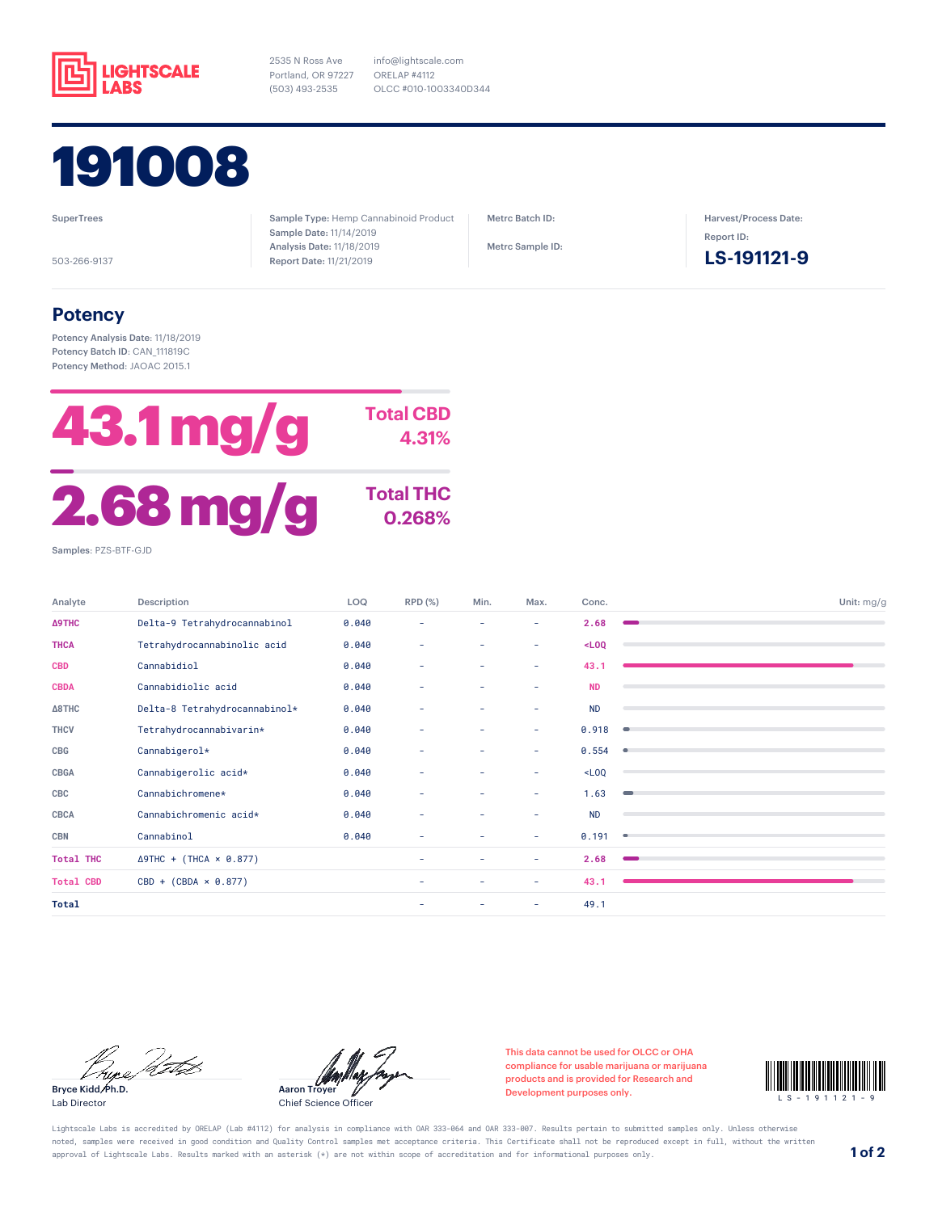

2535 N Ross Ave Portland, OR 97227 (503) 493-2535



**SuperTrees** 

503-266-9137

Sample Type: Hemp Cannabinoid Product Sample Date: 11/14/2019 Analysis Date: 11/18/2019 Report Date: 11/21/2019

info@lightscale.com ORELAP #4112

OLCC #010-1003340D344

Metrc Batch ID:

Metrc Sample ID:

Harvest/Process Date: Report ID:

**LS-191121-9**

## **Potency**

Potency Analysis Date: 11/18/2019 Potency Batch ID: CAN\_111819C Potency Method: JAOAC 2015.1



Analyte Description LOQ RPD (%) Min. Max. Conc. Unit: mg/g **Δ9THC** Delta-9 Tetrahydrocannabinol 0.040 - - - **2.68 THCA** Tetrahydrocannabinolic acid 0.040 - - - **<LOQ CBD** Cannabidiol 0.040 - - - **43.1 CBDA** Cannabidiolic acid 0.040 - - - **ND Δ8THC** Delta-8 Tetrahydrocannabinol\* 0.040 - - - ND **THCV** Tetrahydrocannabivarin\* 0.040 - - - 0.918 **CBG** Cannabigerol\* 0.040 - - - 0.554 **CBGA** Cannabigerolic acid\* 0.040 - - - <LOQ **CBC** Cannabichromene\* 0.040 - - - 1.63 **CBCA** Cannabichromenic acid\* 0.040 - - - ND **CBN** Cannabinol 0.040 - - - 0.191 **Total THC** Δ9THC + (THCA × 0.877) - - - **2.68 Total CBD** CBD + (CBDA × 0.877) - - - 43.1 **Total** - - - 49.1

Prize Petro

Bryce Kidd, Ph.D. Lab Director

Aaron Troyer

Chief Science Officer

This data cannot be used for OLCC or OHA compliance for usable marijuana or marijuana products and is provided for Research and compliance for usable marijuana or marijuana<br>products and is provided for Research and<br>Development purposes only.



Lightscale Labs is accredited by ORELAP (Lab #4112) for analysis in compliance with OAR 333-064 and OAR 333-007. Results pertain to submitted samples only. Unless otherwise noted, samples were received in good condition and Quality Control samples met acceptance criteria. This Certificate shall not be reproduced except in full, without the written approval of Lightscale Labs. Results marked with an asterisk (\*) are not within scope of accreditation and for informational purposes only. **1 of 2**